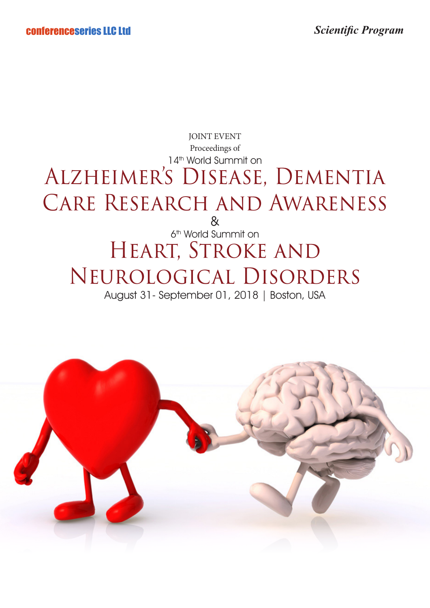## & 14th World Summit on Alzheimer's Disease, Dementia Care Research and Awareness Proceedings of JOINT EVENT

## 6<sup>th</sup> World Summit on HEART, STROKE AND Neurological Disorders

August 31- September 01, 2018 | Boston, USA

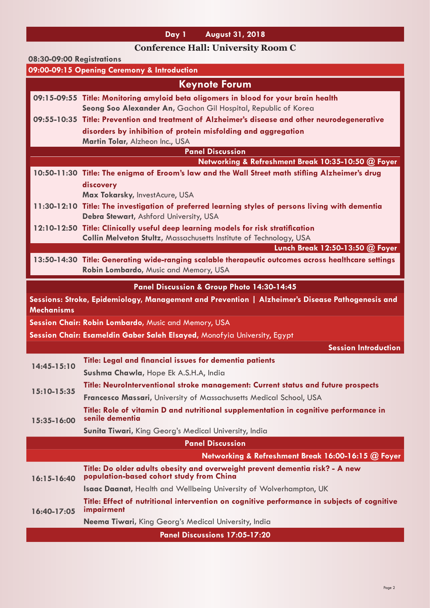## **Day 1 August 31, 2018**

## **Conference Hall: University Room C**

| 08:30-09:00 Registrations                                                                                             |                                                                                                                                                         |  |
|-----------------------------------------------------------------------------------------------------------------------|---------------------------------------------------------------------------------------------------------------------------------------------------------|--|
| 09:00-09:15 Opening Ceremony & Introduction                                                                           |                                                                                                                                                         |  |
|                                                                                                                       | <b>Keynote Forum</b>                                                                                                                                    |  |
|                                                                                                                       | 09:15-09:55 Title: Monitoring amyloid beta oligomers in blood for your brain health<br>Seong Soo Alexander An, Gachon Gil Hospital, Republic of Korea   |  |
|                                                                                                                       | 09:55-10:35 Title: Prevention and treatment of Alzheimer's disease and other neurodegenerative                                                          |  |
|                                                                                                                       | disorders by inhibition of protein misfolding and aggregation                                                                                           |  |
|                                                                                                                       | Martin Tolar, Alzheon Inc., USA<br><b>Panel Discussion</b>                                                                                              |  |
|                                                                                                                       | Networking & Refreshment Break 10:35-10:50 @ Foyer                                                                                                      |  |
|                                                                                                                       | 10:50-11:30 Title: The enigma of Eroom's law and the Wall Street math stifling Alzheimer's drug                                                         |  |
|                                                                                                                       | discovery                                                                                                                                               |  |
|                                                                                                                       | Max Tokarsky, InvestAcure, USA<br>11:30-12:10 Title: The investigation of preferred learning styles of persons living with dementia                     |  |
|                                                                                                                       | Debra Stewart, Ashford University, USA                                                                                                                  |  |
|                                                                                                                       | 12:10-12:50 Title: Clinically useful deep learning models for risk stratification<br>Collin Melveton Stultz, Massachusetts Institute of Technology, USA |  |
|                                                                                                                       | Lunch Break 12:50-13:50 @ Foyer                                                                                                                         |  |
|                                                                                                                       | 13:50-14:30 Title: Generating wide-ranging scalable therapeutic outcomes across healthcare settings                                                     |  |
|                                                                                                                       | Robin Lombardo, Music and Memory, USA                                                                                                                   |  |
|                                                                                                                       | Panel Discussion & Group Photo 14:30-14:45                                                                                                              |  |
| Sessions: Stroke, Epidemiology, Management and Prevention   Alzheimer's Disease Pathogenesis and<br><b>Mechanisms</b> |                                                                                                                                                         |  |
|                                                                                                                       |                                                                                                                                                         |  |
|                                                                                                                       | Session Chair: Robin Lombardo, Music and Memory, USA                                                                                                    |  |
|                                                                                                                       | Session Chair: Esameldin Gaber Saleh Elsayed, Monofyia University, Egypt                                                                                |  |
|                                                                                                                       | <b>Session Introduction</b>                                                                                                                             |  |
|                                                                                                                       | Title: Legal and financial issues for dementia patients                                                                                                 |  |
| 14:45-15:10                                                                                                           | Sushma Chawla, Hope Ek A.S.H.A, India                                                                                                                   |  |
|                                                                                                                       | Title: NeuroInterventional stroke management: Current status and future prospects                                                                       |  |
| 15:10-15:35                                                                                                           | Francesco Massari, University of Massachusetts Medical School, USA                                                                                      |  |
|                                                                                                                       | Title: Role of vitamin D and nutritional supplementation in cognitive performance in<br>senile dementia                                                 |  |
| 15:35-16:00                                                                                                           | <b>Sunita Tiwari, King Georg's Medical University, India</b>                                                                                            |  |
|                                                                                                                       | <b>Panel Discussion</b>                                                                                                                                 |  |
|                                                                                                                       | Networking & Refreshment Break 16:00-16:15 @ Foyer                                                                                                      |  |
| $16:15 - 16:40$                                                                                                       | Title: Do older adults obesity and overweight prevent dementia risk? - A new<br>population-based cohort study from China                                |  |
|                                                                                                                       | <b>Isaac Daanat, Health and Wellbeing University of Wolverhampton, UK</b>                                                                               |  |
| 16:40-17:05                                                                                                           | Title: Effect of nutritional intervention on cognitive performance in subjects of cognitive<br>impairment                                               |  |
|                                                                                                                       | <b>Neema Tiwari, King Georg's Medical University, India</b>                                                                                             |  |